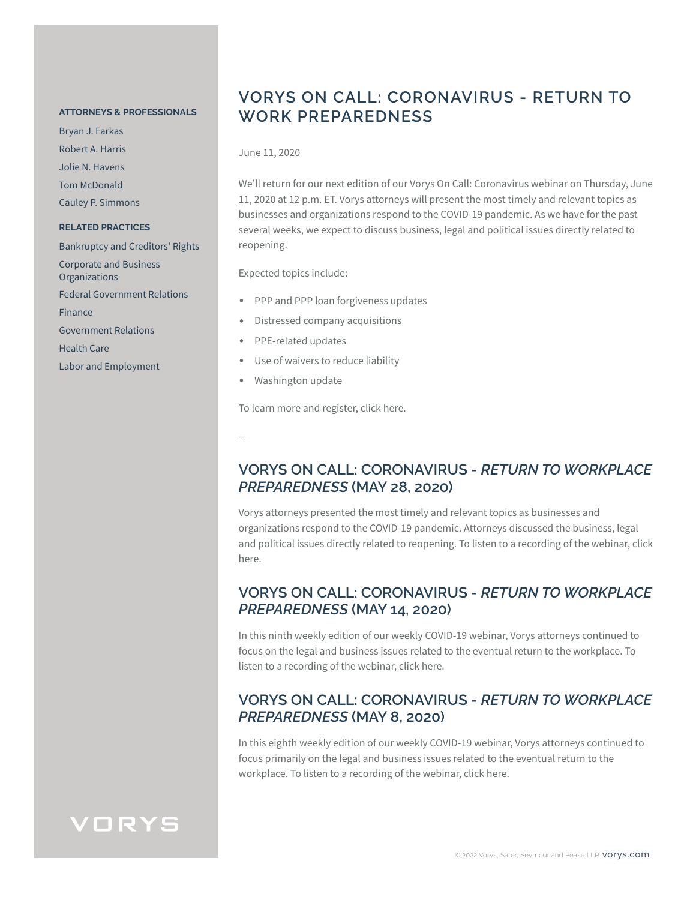#### **ATTORNEYS & PROFESSIONALS**

Bryan J. Farkas Robert A. Harris Jolie N. Havens Tom McDonald Cauley P. Simmons **RELATED PRACTICES** Bankruptcy and Creditors' Rights Corporate and Business **Organizations** Federal Government Relations Finance Government Relations Health Care Labor and Employment

### **VORYS ON CALL: CORONAVIRUS - RETURN TO WORK PREPAREDNESS**

June 11, 2020

We'll return for our next edition of our Vorys On Call: Coronavirus webinar on Thursday, June 11, 2020 at 12 p.m. ET. Vorys attorneys will present the most timely and relevant topics as businesses and organizations respond to the COVID-19 pandemic. As we have for the past several weeks, we expect to discuss business, legal and political issues directly related to reopening.

Expected topics include:

- PPP and PPP loan forgiveness updates
- Distressed company acquisitions
- PPE-related updates
- Use of waivers to reduce liability
- Washington update

To learn more and register, click here.

--

#### **VORYS ON CALL: CORONAVIRUS -** *RETURN TO WORKPLACE PREPAREDNESS* **(MAY 28, 2020)**

Vorys attorneys presented the most timely and relevant topics as businesses and organizations respond to the COVID-19 pandemic. Attorneys discussed the business, legal and political issues directly related to reopening. To listen to a recording of the webinar, click here.

#### **VORYS ON CALL: CORONAVIRUS -** *RETURN TO WORKPLACE PREPAREDNESS* **(MAY 14, 2020)**

In this ninth weekly edition of our weekly COVID-19 webinar, Vorys attorneys continued to focus on the legal and business issues related to the eventual return to the workplace. To listen to a recording of the webinar, click here.

#### **VORYS ON CALL: CORONAVIRUS -** *RETURN TO WORKPLACE PREPAREDNESS* **(MAY 8, 2020)**

In this eighth weekly edition of our weekly COVID-19 webinar, Vorys attorneys continued to focus primarily on the legal and business issues related to the eventual return to the workplace. To listen to a recording of the webinar, click here.

## VORYS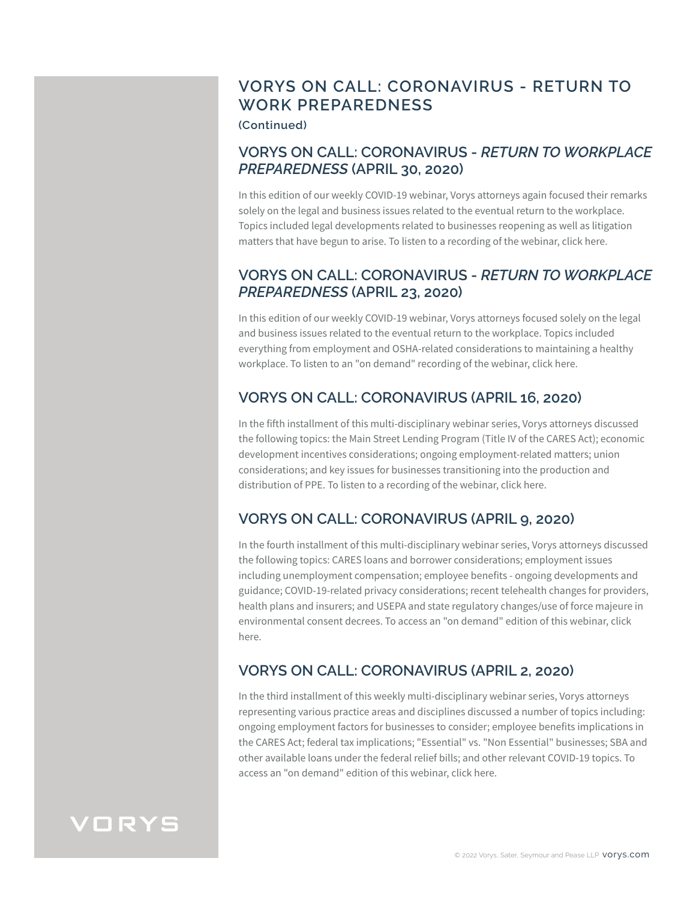## **VORYS ON CALL: CORONAVIRUS - RETURN TO WORK PREPAREDNESS**

**(Continued)**

#### **VORYS ON CALL: CORONAVIRUS -** *RETURN TO WORKPLACE PREPAREDNESS* **(APRIL 30, 2020)**

In this edition of our weekly COVID-19 webinar, Vorys attorneys again focused their remarks solely on the legal and business issues related to the eventual return to the workplace. Topics included legal developments related to businesses reopening as well as litigation matters that have begun to arise. To listen to a recording of the webinar, click here.

#### **VORYS ON CALL: CORONAVIRUS -** *RETURN TO WORKPLACE PREPAREDNESS* **(APRIL 23, 2020)**

In this edition of our weekly COVID-19 webinar, Vorys attorneys focused solely on the legal and business issues related to the eventual return to the workplace. Topics included everything from employment and OSHA-related considerations to maintaining a healthy workplace. To listen to an "on demand" recording of the webinar, click here.

## **VORYS ON CALL: CORONAVIRUS (APRIL 16, 2020)**

In the fifth installment of this multi-disciplinary webinar series, Vorys attorneys discussed the following topics: the Main Street Lending Program (Title IV of the CARES Act); economic development incentives considerations; ongoing employment-related matters; union considerations; and key issues for businesses transitioning into the production and distribution of PPE. To listen to a recording of the webinar, click here.

## **VORYS ON CALL: CORONAVIRUS (APRIL 9, 2020)**

In the fourth installment of this multi-disciplinary webinar series, Vorys attorneys discussed the following topics: CARES loans and borrower considerations; employment issues including unemployment compensation; employee benefits - ongoing developments and guidance; COVID-19-related privacy considerations; recent telehealth changes for providers, health plans and insurers; and USEPA and state regulatory changes/use of force majeure in environmental consent decrees. To access an "on demand" edition of this webinar, click here.

## **VORYS ON CALL: CORONAVIRUS (APRIL 2, 2020)**

In the third installment of this weekly multi-disciplinary webinar series, Vorys attorneys representing various practice areas and disciplines discussed a number of topics including: ongoing employment factors for businesses to consider; employee benefits implications in the CARES Act; federal tax implications; "Essential" vs. "Non Essential" businesses; SBA and other available loans under the federal relief bills; and other relevant COVID-19 topics. To access an "on demand" edition of this webinar, click here.

# VORYS